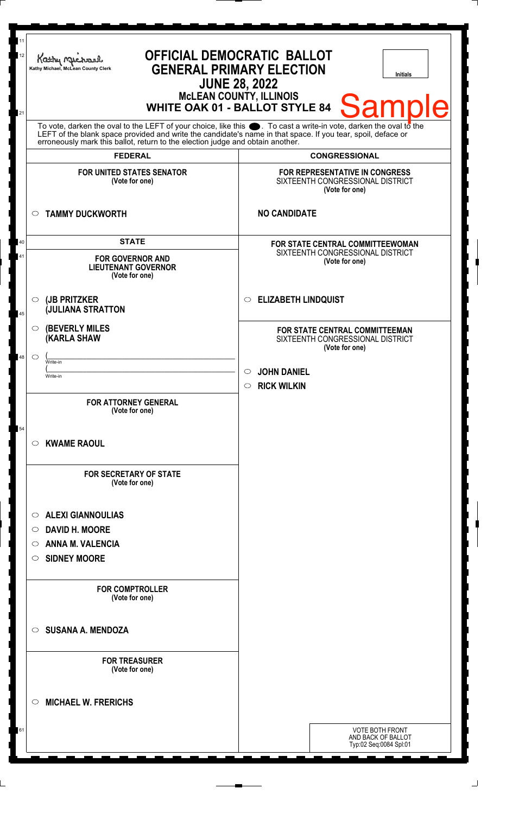| 11<br>12<br>21 | <b>OFFICIAL DEMOCRATIC BALLOT</b><br>Kathy Michael<br><b>GENERAL PRIMARY ELECTION</b><br>Kathy Michael, McLean County Clerk<br><b>Initials</b><br><b>JUNE 28, 2022</b><br><b>McLEAN COUNTY, ILLINOIS</b><br><b>Sample</b><br><b>WHITE OAK 01 - BALLOT STYLE 84</b>                                                     |                                                                                      |  |
|----------------|------------------------------------------------------------------------------------------------------------------------------------------------------------------------------------------------------------------------------------------------------------------------------------------------------------------------|--------------------------------------------------------------------------------------|--|
|                | To vote, darken the oval to the LEFT of your choice, like this $\bullet$ . To cast a write-in vote, darken the oval to the LEFT of the blank space provided and write the candidate's name in that space. If you tear, spoil, deface<br>erroneously mark this ballot, return to the election judge and obtain another. |                                                                                      |  |
|                | <b>FEDERAL</b>                                                                                                                                                                                                                                                                                                         | <b>CONGRESSIONAL</b>                                                                 |  |
|                | <b>FOR UNITED STATES SENATOR</b><br>(Vote for one)                                                                                                                                                                                                                                                                     | FOR REPRESENTATIVE IN CONGRESS<br>SIXTEENTH CONGRESSIONAL DISTRICT<br>(Vote for one) |  |
|                | <b>TAMMY DUCKWORTH</b><br>$\circ$                                                                                                                                                                                                                                                                                      | <b>NO CANDIDATE</b>                                                                  |  |
| 40             | <b>STATE</b>                                                                                                                                                                                                                                                                                                           | FOR STATE CENTRAL COMMITTEEWOMAN                                                     |  |
| 41             | <b>FOR GOVERNOR AND</b><br><b>LIEUTENANT GOVERNOR</b><br>(Vote for one)                                                                                                                                                                                                                                                | SIXTEENTH CONGRESSIONAL DISTRICT<br>(Vote for one)                                   |  |
| $\bf 45$       | (JB PRITZKER<br>$\circ$<br><b>JULIANA STRATTON</b>                                                                                                                                                                                                                                                                     | <b>ELIZABETH LINDQUIST</b><br>$\circ$                                                |  |
|                | <b>(BEVERLY MILES</b><br>$\circ$<br><b>(KARLA SHAW</b>                                                                                                                                                                                                                                                                 | FOR STATE CENTRAL COMMITTEEMAN<br>SIXTEENTH CONGRESSIONAL DISTRICT<br>(Vote for one) |  |
| 48             | $\circ$<br>Write-in                                                                                                                                                                                                                                                                                                    |                                                                                      |  |
|                | Write-in                                                                                                                                                                                                                                                                                                               | <b>JOHN DANIEL</b><br>$\circ$<br><b>RICK WILKIN</b><br>$\circ$                       |  |
|                | <b>FOR ATTORNEY GENERAL</b><br>(Vote for one)                                                                                                                                                                                                                                                                          |                                                                                      |  |
| 54             | <b>KWAME RAOUL</b><br>$\circ$                                                                                                                                                                                                                                                                                          |                                                                                      |  |
|                | <b>FOR SECRETARY OF STATE</b><br>(Vote for one)                                                                                                                                                                                                                                                                        |                                                                                      |  |
|                | <b>ALEXI GIANNOULIAS</b><br>$\circ$                                                                                                                                                                                                                                                                                    |                                                                                      |  |
|                | <b>DAVID H. MOORE</b><br>$\circ$                                                                                                                                                                                                                                                                                       |                                                                                      |  |
|                | <b>ANNA M. VALENCIA</b><br>O                                                                                                                                                                                                                                                                                           |                                                                                      |  |
|                | <b>SIDNEY MOORE</b><br>O                                                                                                                                                                                                                                                                                               |                                                                                      |  |
|                | <b>FOR COMPTROLLER</b><br>(Vote for one)                                                                                                                                                                                                                                                                               |                                                                                      |  |
|                | <b>SUSANA A. MENDOZA</b><br>$\circ$                                                                                                                                                                                                                                                                                    |                                                                                      |  |
|                | <b>FOR TREASURER</b><br>(Vote for one)                                                                                                                                                                                                                                                                                 |                                                                                      |  |
|                | <b>MICHAEL W. FRERICHS</b><br>$\circ$                                                                                                                                                                                                                                                                                  |                                                                                      |  |
| 61             |                                                                                                                                                                                                                                                                                                                        | <b>VOTE BOTH FRONT</b><br>AND BACK OF BALLOT<br>Typ:02 Seq:0084 Spl:01               |  |

 $\Box$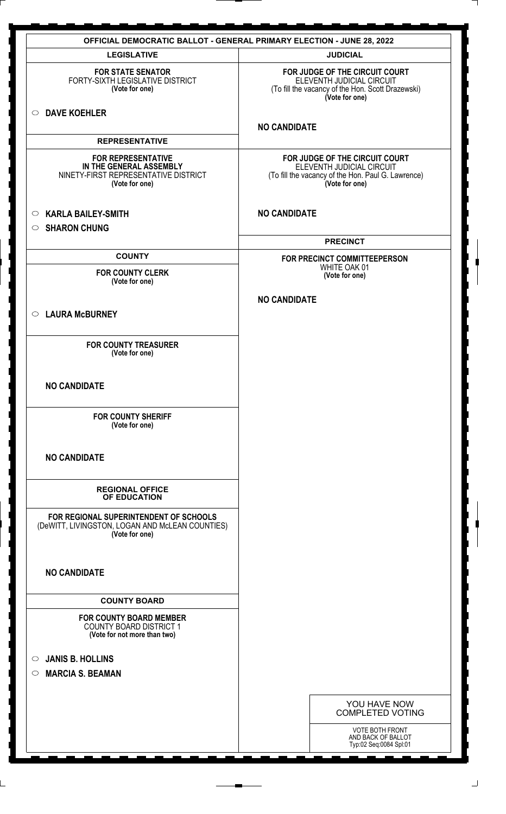| <b>OFFICIAL DEMOCRATIC BALLOT - GENERAL PRIMARY ELECTION - JUNE 28, 2022</b>                                   |                                                                                                                                     |  |
|----------------------------------------------------------------------------------------------------------------|-------------------------------------------------------------------------------------------------------------------------------------|--|
| <b>LEGISLATIVE</b>                                                                                             | <b>JUDICIAL</b>                                                                                                                     |  |
| <b>FOR STATE SENATOR</b><br>FORTY-SIXTH LEGISLATIVE DISTRICT<br>(Vote for one)                                 | FOR JUDGE OF THE CIRCUIT COURT<br>ELEVENTH JUDICIAL CIRCUIT<br>(To fill the vacancy of the Hon. Scott Drazewski)<br>(Vote for one)  |  |
| <b>DAVE KOEHLER</b><br>$\circ$                                                                                 | <b>NO CANDIDATE</b>                                                                                                                 |  |
| <b>REPRESENTATIVE</b>                                                                                          |                                                                                                                                     |  |
| <b>FOR REPRESENTATIVE</b><br>IN THE GENERAL ASSEMBLY<br>NINETY-FIRST REPRESENTATIVE DISTRICT<br>(Vote for one) | FOR JUDGE OF THE CIRCUIT COURT<br>ELEVENTH JUDICIAL CIRCUIT<br>(To fill the vacancy of the Hon. Paul G. Lawrence)<br>(Vote for one) |  |
| <b>KARLA BAILEY-SMITH</b><br>$\circ$                                                                           | <b>NO CANDIDATE</b>                                                                                                                 |  |
| <b>SHARON CHUNG</b><br>$\circ$                                                                                 |                                                                                                                                     |  |
|                                                                                                                | <b>PRECINCT</b>                                                                                                                     |  |
| <b>COUNTY</b>                                                                                                  | FOR PRECINCT COMMITTEEPERSON                                                                                                        |  |
| <b>FOR COUNTY CLERK</b>                                                                                        | WHITE OAK 01<br>(Vote for one)                                                                                                      |  |
| (Vote for one)                                                                                                 |                                                                                                                                     |  |
|                                                                                                                | <b>NO CANDIDATE</b>                                                                                                                 |  |
| <b>LAURA McBURNEY</b><br>$\circ$                                                                               |                                                                                                                                     |  |
| <b>FOR COUNTY TREASURER</b><br>(Vote for one)                                                                  |                                                                                                                                     |  |
| <b>NO CANDIDATE</b>                                                                                            |                                                                                                                                     |  |
| <b>FOR COUNTY SHERIFF</b><br>(Vote for one)                                                                    |                                                                                                                                     |  |
| <b>NO CANDIDATE</b>                                                                                            |                                                                                                                                     |  |
| <b>REGIONAL OFFICE</b><br>OF EDUCATION                                                                         |                                                                                                                                     |  |
| FOR REGIONAL SUPERINTENDENT OF SCHOOLS<br>(DeWITT, LIVINGSTON, LOGAN AND McLEAN COUNTIES)<br>(Vote for one)    |                                                                                                                                     |  |
| <b>NO CANDIDATE</b>                                                                                            |                                                                                                                                     |  |
| <b>COUNTY BOARD</b>                                                                                            |                                                                                                                                     |  |
| <b>FOR COUNTY BOARD MEMBER</b><br><b>COUNTY BOARD DISTRICT 1</b><br>(Vote for not more than two)               |                                                                                                                                     |  |
| <b>JANIS B. HOLLINS</b><br>$\circ$                                                                             |                                                                                                                                     |  |
| <b>MARCIA S. BEAMAN</b><br>$\circ$                                                                             |                                                                                                                                     |  |
|                                                                                                                |                                                                                                                                     |  |
|                                                                                                                | YOU HAVE NOW<br><b>COMPLETED VOTING</b>                                                                                             |  |
|                                                                                                                | <b>VOTE BOTH FRONT</b><br>AND BACK OF BALLOT<br>Typ:02 Seq:0084 Spl:01                                                              |  |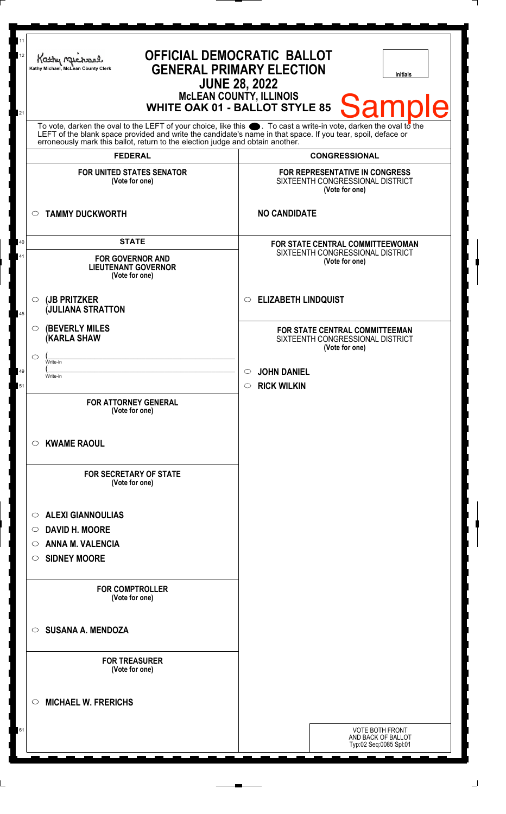| <b>WHITE OAK 01 - BALLOT STYLE 85</b><br>21<br>To vote, darken the oval to the LEFT of your choice, like this $\bullet$ . To cast a write-in vote, darken the oval to the LEFT of the blank space provided and write the candidate's name in that space. If you tear, spoil, deface<br>erroneously mark this ballot, return to the election judge and obtain another.<br><b>FEDERAL</b><br><b>CONGRESSIONAL</b><br><b>FOR UNITED STATES SENATOR</b><br><b>FOR REPRESENTATIVE IN CONGRESS</b><br>SIXTEENTH CONGRESSIONAL DISTRICT<br>(Vote for one)<br>(Vote for one)<br><b>NO CANDIDATE</b><br><b>TAMMY DUCKWORTH</b><br>$\circ$<br><b>STATE</b><br>40<br><b>FOR STATE CENTRAL COMMITTEEWOMAN</b><br>SIXTEENTH CONGRESSIONAL DISTRICT<br>41<br><b>FOR GOVERNOR AND</b><br>(Vote for one)<br><b>LIEUTENANT GOVERNOR</b><br>(Vote for one)<br><b>ELIZABETH LINDQUIST</b><br>(JB PRITZKER<br>$\circ$<br>$\circ$<br><b>JULIANA STRATTON</b><br><b>(BEVERLY MILES)</b><br>O<br>FOR STATE CENTRAL COMMITTEEMAN<br><b>KARLA SHAW</b><br>SIXTEENTH CONGRESSIONAL DISTRICT<br>(Vote for one) | <b>Sample</b> |
|-------------------------------------------------------------------------------------------------------------------------------------------------------------------------------------------------------------------------------------------------------------------------------------------------------------------------------------------------------------------------------------------------------------------------------------------------------------------------------------------------------------------------------------------------------------------------------------------------------------------------------------------------------------------------------------------------------------------------------------------------------------------------------------------------------------------------------------------------------------------------------------------------------------------------------------------------------------------------------------------------------------------------------------------------------------------------------------|---------------|
| 45                                                                                                                                                                                                                                                                                                                                                                                                                                                                                                                                                                                                                                                                                                                                                                                                                                                                                                                                                                                                                                                                                  |               |
|                                                                                                                                                                                                                                                                                                                                                                                                                                                                                                                                                                                                                                                                                                                                                                                                                                                                                                                                                                                                                                                                                     |               |
|                                                                                                                                                                                                                                                                                                                                                                                                                                                                                                                                                                                                                                                                                                                                                                                                                                                                                                                                                                                                                                                                                     |               |
|                                                                                                                                                                                                                                                                                                                                                                                                                                                                                                                                                                                                                                                                                                                                                                                                                                                                                                                                                                                                                                                                                     |               |
|                                                                                                                                                                                                                                                                                                                                                                                                                                                                                                                                                                                                                                                                                                                                                                                                                                                                                                                                                                                                                                                                                     |               |
|                                                                                                                                                                                                                                                                                                                                                                                                                                                                                                                                                                                                                                                                                                                                                                                                                                                                                                                                                                                                                                                                                     |               |
|                                                                                                                                                                                                                                                                                                                                                                                                                                                                                                                                                                                                                                                                                                                                                                                                                                                                                                                                                                                                                                                                                     |               |
| $\circlearrowright$<br>Write-in<br><b>JOHN DANIEL</b><br>49<br>$\circ$<br>Write-in<br><b>RICK WILKIN</b><br>51<br>$\circ$                                                                                                                                                                                                                                                                                                                                                                                                                                                                                                                                                                                                                                                                                                                                                                                                                                                                                                                                                           |               |
| <b>FOR ATTORNEY GENERAL</b><br>(Vote for one)                                                                                                                                                                                                                                                                                                                                                                                                                                                                                                                                                                                                                                                                                                                                                                                                                                                                                                                                                                                                                                       |               |
| <b>KWAME RAOUL</b><br>O                                                                                                                                                                                                                                                                                                                                                                                                                                                                                                                                                                                                                                                                                                                                                                                                                                                                                                                                                                                                                                                             |               |
| <b>FOR SECRETARY OF STATE</b><br>(Vote for one)                                                                                                                                                                                                                                                                                                                                                                                                                                                                                                                                                                                                                                                                                                                                                                                                                                                                                                                                                                                                                                     |               |
| <b>ALEXI GIANNOULIAS</b><br>O                                                                                                                                                                                                                                                                                                                                                                                                                                                                                                                                                                                                                                                                                                                                                                                                                                                                                                                                                                                                                                                       |               |
| <b>DAVID H. MOORE</b><br>O                                                                                                                                                                                                                                                                                                                                                                                                                                                                                                                                                                                                                                                                                                                                                                                                                                                                                                                                                                                                                                                          |               |
| <b>ANNA M. VALENCIA</b><br>O                                                                                                                                                                                                                                                                                                                                                                                                                                                                                                                                                                                                                                                                                                                                                                                                                                                                                                                                                                                                                                                        |               |
| <b>SIDNEY MOORE</b><br>O                                                                                                                                                                                                                                                                                                                                                                                                                                                                                                                                                                                                                                                                                                                                                                                                                                                                                                                                                                                                                                                            |               |
| <b>FOR COMPTROLLER</b><br>(Vote for one)                                                                                                                                                                                                                                                                                                                                                                                                                                                                                                                                                                                                                                                                                                                                                                                                                                                                                                                                                                                                                                            |               |
| <b>SUSANA A. MENDOZA</b><br>◯                                                                                                                                                                                                                                                                                                                                                                                                                                                                                                                                                                                                                                                                                                                                                                                                                                                                                                                                                                                                                                                       |               |
| <b>FOR TREASURER</b><br>(Vote for one)                                                                                                                                                                                                                                                                                                                                                                                                                                                                                                                                                                                                                                                                                                                                                                                                                                                                                                                                                                                                                                              |               |
| <b>MICHAEL W. FRERICHS</b><br>◯                                                                                                                                                                                                                                                                                                                                                                                                                                                                                                                                                                                                                                                                                                                                                                                                                                                                                                                                                                                                                                                     |               |
| 61<br><b>VOTE BOTH FRONT</b><br>AND BACK OF BALLOT<br>Typ:02 Seq:0085 Spl:01                                                                                                                                                                                                                                                                                                                                                                                                                                                                                                                                                                                                                                                                                                                                                                                                                                                                                                                                                                                                        |               |